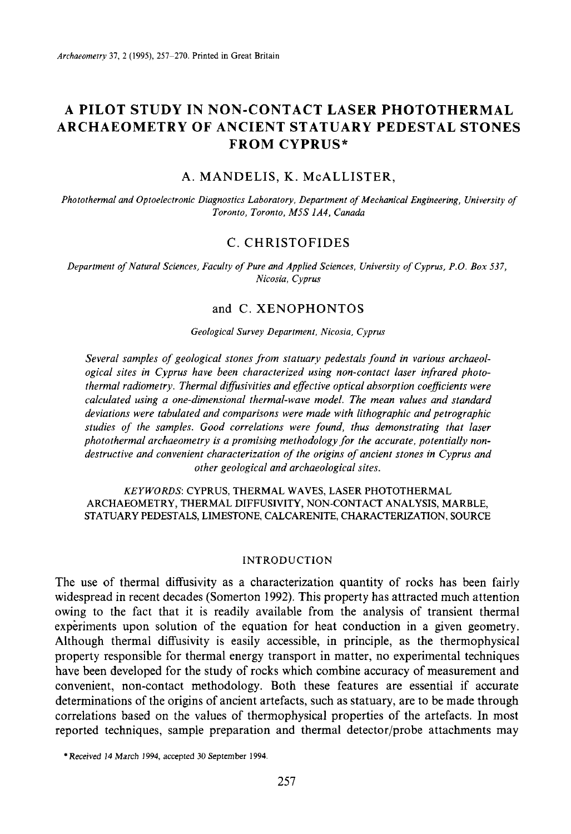# **A PILOT STUDY IN NON-CONTACT LASER PHOTOTHERMAL ARCHAEOMETRY OF ANCIENT STATUARY PEDESTAL STONES FROM CYPRUS\***

## A. MANDELIS, K. McALLISTER,

*Photoihermal and Optoelectronic Diagnostics Laboratory, Department of Mechanical Engineering, University of Toronto, Toronto, M5S IA4, Canada* 

### C. CHRISTOFIDES

*Department of Natural Sciences, Faculty of Pure and Applied Sciences, University of Cyprus, P.O. Box 537, Nicosia, Cyprus* 

### and C. XENOPHONTOS

#### *Geological Survey Department. Nicosia, Cyprus*

*Several samples of geological stones from statuary pedestals found in various archaeological sites in Cyprus have been characterized using non-contact laser infrared photothermal radiometry. Thermal diffusivities and effective optical absorption coejicients were calculated using a one-dimensional thermal-wave model. The mean values and standard deviations were tabulated and comparisons were made with lithographic and petrographic studies of the samples. Good correlations were found, thus demonstrating that laser*  photothermal archaeometry is a promising methodology for the accurate, potentially non*destructive and convenient characterization of the origins of ancient stones in Cyprus and other geological and archaeological sites.* 

### *KEYWORDS:* CYPRUS, THERMAL WAVES, LASER PHOTOTHERMAL STATUARY PEDESTALS, LIMESTONE, CALCARENITE, CHARACTERIZATION, SOURCE ARCHAEOMETRY, THERMAL DIFFUSIVITY, NON-CONTACT ANALYSIS, MARBLE,

### INTRODUCTION

The use of thermal diffusivity as a characterization quantity of rocks has been fairly widespread in recent decades (Somerton 1992). This property has attracted much attention owing to the fact that it is readily available from the analysis of transient thermal experiments upon solution of the equation for heat conduction in a given geometry. Although thermal diffusivity is easily accessible, in principle, as the thermophysical property responsible for thermal energy transport in matter, no experimental techniques have been developed for the study of rocks which combine accuracy of measurement and convenient, non-contact methodology. Both these features are essential if accurate determinations of the origins of ancient artefacts, such as statuary, are to be made through correlations based on the values of thermophysical properties of the artefacts. In most reported techniques, sample preparation and thermal detector/probe attachments may

<sup>\*</sup>Received **14** March **1994,** accepted 30 September **1994.**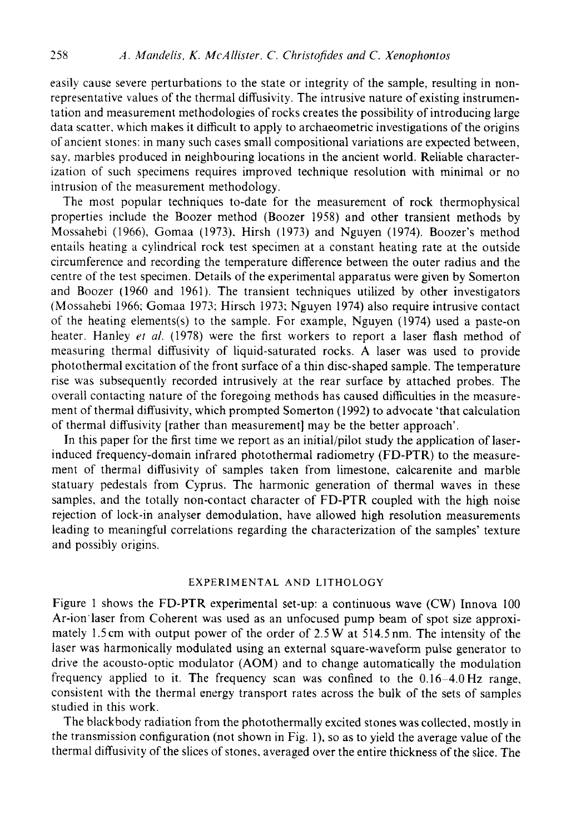easily cause severe perturbations to the state or integrity of the sample, resulting in nonrepresentative values of the thermal diffusivity. The intrusive nature of existing instrumentation and measurement methodologies of rocks creates the possibility of introducing large data scatter. which makes it difficult to apply to archaeometric investigations of the origins of ancient stones: in many such cases small compositional variations are expected between, say, marbles produced in neighbouring locations in the ancient world. Reliable characterization of such specimens requires improved technique resolution with minimal or no intrusion of the measurement methodology.

The most popular techniques to-date for the measurement of rock thermophysical properties include the Boozer method (Boozer 1958) and other transient methods by Mossahebi (1966), Gomaa (1973). Hirsh (1973) and Nguyen (1974). Boozer's method entails heating a cylindrical rock test specimen at a constant heating rate at the outside circumference and recording the temperature difference between the outer radius and the centre of the test specimen. Details of the experimental apparatus were given by Somerton and Boozer (1960 and 1961). The transient techniques utilized by other investigators (Mossahebi 1966; Gomaa 1973: Hirsch 1973: Nguyen 1974) also require intrusive contact of the heating elements(s) to the sample. For example, Nguyen (1974) used a paste-on heater. Hanley *er ul.* (1978) were the first workers to report a laser flash method of measuring thermal diffusivity of liquid-saturated rocks. **A** laser was used to provide photothermal excitation of the front surface of a thin disc-shaped sample. The temperature rise was subsequently recorded intrusively at the rear surface by attached probes. The overall contacting nature of the foregoing methods has caused difficulties in the measurement of thermal diffusivity, which prompted Somerton (1992) to advocate 'that calculation of thermal diffusivity [rather than measurement] may be the better approach'.

In this paper for the first time we report as an initial/pilot study the application of laserinduced frequency-domain infrared photothermal radiometry (FD-PTR) to the measurement of thermal diffusivity of samples taken from limestone, calcarenite and marble statuary pedestals from Cyprus. The harmonic generation of thermal waves in these samples, and the totally non-contact character of FD-PTR coupled with the high noise rejection of lock-in analyser demodulation, have allowed high resolution measurements leading to meaningful correlations regarding the characterization of the samples' texture and possibly origins.

### EXPERIMENTAL **AND** LITHOLOGY

Figure 1 shows the FD-PTR experimental set-up: a continuous wave **(CW)** Innova 100 Ar-ion'laser from Coherent was used as an unfocused pump beam of spot size approximately 1.5cm with output power of the order of 2.5 W at 514.5nm. The intensity of the laser was harmonically modulated using an external square-waveform pulse generator to drive the acousto-optic modulator **(AOM)** and to change automatically the modulation frequency applied to it. The frequency scan was confined to the 0.16-4.0Hz range, consistent with the thermal energy transport rates across the bulk of the sets of samples studied in this work.

The blackbody radiation from the photothermally excited stones was collected, mostly in the transmission configuration (not shown in Fig. l), so as to yield the average value of the thermal diffusivity of the slices of stones, averaged over the entire thickness of the slice. The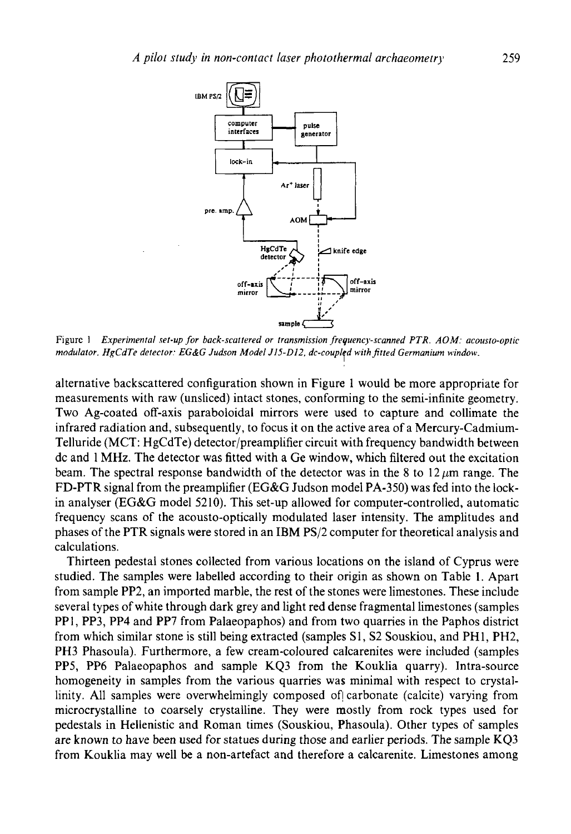

Figure <sup>1</sup> *Experimental set-up for back-scatiered or transmission freguencj-scanned PTR. AOM: acousto-optic modulator. HgCdTe detector: EG&G Judson Model JIS-DI2. dc-couplfd with firted Germanium window.* 

alternative backscattered configuration shown in Figure 1 would be more appropriate for measurements with raw (unsliced) intact stones, conforming to the semi-infinite geometry. Two Ag-coated off-axis paraboloidal mirrors were used to capture and collimate the infrared radiation and, subsequently, to focus it on the active area of a Mercury-Cadmium-Telluride (MCT: HgCdTe) detector/preamplifier circuit with frequency bandwidth between dc and 1 MHz. The detector was fitted with a Ge window, which filtered out the excitation beam. The spectral response bandwidth of the detector was in the 8 to  $12 \mu m$  range. The FD-PTR signal from the preamplifier (EG&G Judson model PA-350) was fed into the lockin analyser (EG&G model *52* 10). This set-up allowed for computer-controlled, automatic frequency scans of the acousto-optically modulated laser intensity. The amplitudes and phases of the PTR signals were stored in an IBM PS/2 computer for theoretical analysis and calculations.

Thirteen pedestal stones collected from various locations on the island of Cyprus were studied. The samples were labelled according to their origin as shown on Table **1.** Apart from sample PP2, an imported marble, the rest of the stones were limestones. These include several types of white through dark grey and light red dense fragmental limestones (samples PPI, PP3, PP4 and PP7 from Palaeopaphos) and from two quarries in the Paphos district from which similar stone is still being extracted (samples S1, S2 Souskiou, and PHI, PH2, **PH3** Phasoula). Furthermore, a few cream-coloured calcarenites were included (samples PP5, PP6 Palaeopaphos and sample KQ3 from the Kouklia quarry). Intra-source homogeneity in samples from the various quarries was minimal with respect to crystallinity. All samples were overwhelmingly composed of carbonate (calcite) varying from microcrystalline to coarsely crystalline. They were mostly from rock types used for pedestals in Hellenistic and Roman times (Souskiou, Phasoula). Other types of samples are known to have been used for statues during those and earlier periods. The sample KQ3 from Kouklia may well be a non-artefact and therefore a calcarenite. Limestones among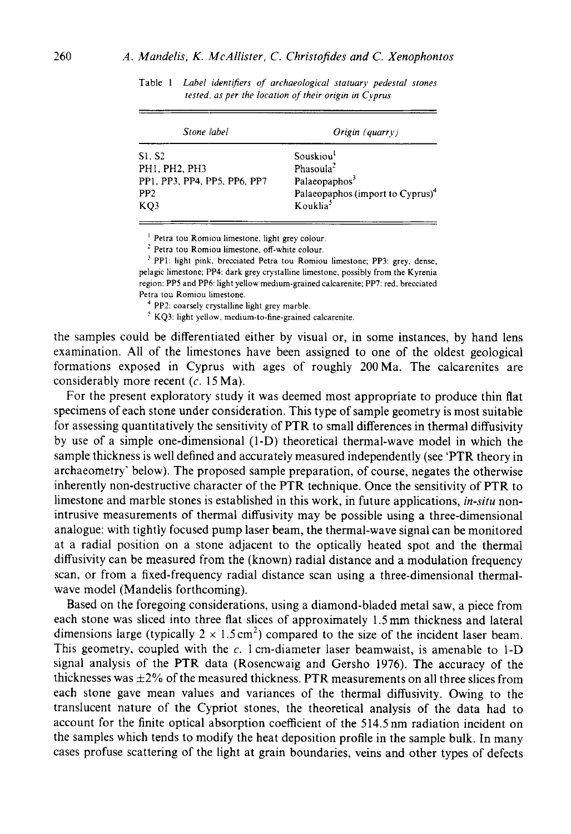| Stone label                  | $O$ rigin (quarry)                           |
|------------------------------|----------------------------------------------|
| S1. S2                       | Souskiou                                     |
| PH1, PH2, PH3                | Phasoula <sup>2</sup>                        |
| PP1, PP3, PP4, PP5, PP6, PP7 | Palaeopaphos <sup>3</sup>                    |
| PP <sub>2</sub>              | Palaeopaphos (import to Cyprus) <sup>4</sup> |
| KO <sub>3</sub>              | Kouklia <sup>5</sup>                         |

Table 1 *Label idenrifiers of archaeological statuary pedestal stones rested. as per the locarion of their origin in Cyprus* 

<sup>1</sup> Petra tou Romiou limestone, light grey colour.<sup>2</sup> Petra tou Romiou limestone, off-white colour.

<sup>3</sup> PP1: light pink, brecciated Petra tou Romiou limestone; PP3: grey, dense, pelagic limestone; PP4: dark grey crystalline limestone, possibly from the Kyrenia region: **PP5** and PP6 light yellow medium-grained calcarenite: **PP7:** red. brecciated Petra tou Romiou limestone.<br><sup>4</sup> PP2: coarsely crystalline light grey marble.

 $<sup>5</sup>$  KQ3: light yellow. medium-to-fine-grained calcarenite.</sup>

the samples could be differentiated either by visual or, in some instances, by hand lens examination. **All** of the limestones have been assigned to one of the oldest geological formations exposed in Cyprus with ages of roughly 200Ma. The calcarenites are considerably more recent (c. 15 Ma).

For the present exploratory study it was deemed most appropriate to produce thin flat specimens of each stone under consideration. This type of sample geometry is most suitable for assessing quantitatively the sensitivity of PTR to small differences in thermal diffusivity by use of a simple one-dimensional (I-D) theoretical thermal-wave model in which the sample thickness is well defined and accurately measured independently (see 'PTR theory in archaeometry' below). The proposed sample preparation, of course, negates the otherwise inherently non-destructive character of the PTR technique. Once the sensitivity of PTR to limestone and marble stones is established in this work, in future applications, *in-situ* nonintrusive measurements of thermal diffusivity may be possible using a three-dimensional analogue: with tightly focused pump laser beam, the thermal-wave signal can be monitored at a radial position on a stone adjacent to the optically heated spot and the thermal diffusivity can be measured from the (known) radial distance and a modulation frequency scan, or from a fixed-frequency radial distance scan using a three-dimensional thermalwave model (Mandelis forthcoming).

Based on the foregoing considerations, using a diamond-bladed metal saw, a piece from each stone was sliced into three flat slices of approximately 1.5mm thickness and lateral dimensions large (typically  $2 \times 1.5 \text{ cm}^2$ ) compared to the size of the incident laser beam. This geometry, coupled with the  $c$ . 1 cm-diameter laser beamwaist, is amenable to 1-D signal analysis of the PTR data (Rosencwaig and Gersho 1976). The accuracy of the thicknesses was  $\pm 2\%$  of the measured thickness. PTR measurements on all three slices from each stone gave mean values and variances of the thermal diffusivity. Owing to the translucent nature of the Cypriot stones, the theoretical analysis of the data had to account for the finite optical absorption coefficient of the 514.5 nm radiation incident on the samples which tends to modify the heat deposition profile in the sample bulk. In many cases profuse scattering of the light at grain boundaries, veins and other types of defects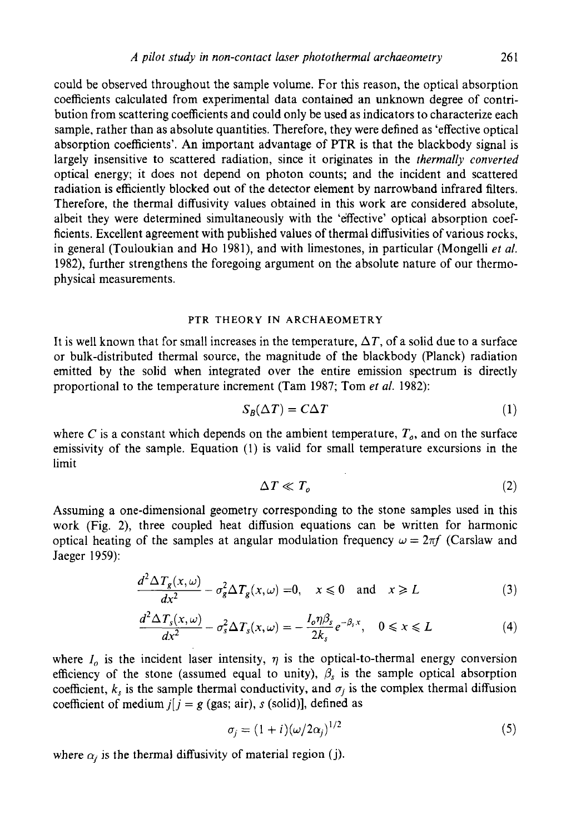could be observed throughout the sample volume. For this reason, the optical absorption coefficients calculated from experimental data contained an unknown degree of contribution from scattering coefficients and could only be used as indicators to characterize each sample, rather than as absolute quantities. Therefore, they were defined as 'effective optical absorption coefficients'. An important advantage of PTR is that the blackbody signal is largely insensitive to scattered radiation, since it originates in the *thermally converted*  optical energy; it does not depend on photon counts; and the incident and scattered radiation is efficiently blocked out of the detector element by narrowband infrared filters. Therefore, the thermal diffusivity values obtained in this work are considered absolute, albeit they were determined simultaneously with the 'effective' optical absorption coefficients. Excellent agreement with published values of thermal diffusivities of various rocks, in general (Touloukian and Ho 1981), and with limestones, in particular (Mongelli *et al.*  1982), further strengthens the foregoing argument on the absolute nature of our thermophysical measurements.

#### **PTR THEORY IN ARCHAEOMETRY**

It is well known that for small increases in the temperature,  $\Delta T$ , of a solid due to a surface or bulk-distributed thermal source, the magnitude of the blackbody (Planck) radiation emitted by the solid when integrated over the entire emission spectrum is directly proportional to the temperature increment (Tam 1987; Tom *et al.* 1982):

$$
S_B(\Delta T) = C\Delta T \tag{1}
$$

where *C* is a constant which depends on the ambient temperature,  $T<sub>o</sub>$ , and on the surface emissivity of the sample. Equation (1) is valid for small temperature excursions in the limit

$$
\Delta T \ll T_o \tag{2}
$$

Assuming a one-dimensional geometry corresponding to the stone samples used in this work (Fig. *2),* three coupled heat diffusion equations can be written for harmonic optical heating of the samples at angular modulation frequency  $\omega = 2\pi f$  (Carslaw and Jaeger 1959):

$$
\frac{d^2 \Delta T_g(x,\omega)}{dx^2} - \sigma_g^2 \Delta T_g(x,\omega) = 0, \quad x \le 0 \quad \text{and} \quad x \ge L \tag{3}
$$
\n
$$
\frac{d^2 \Delta T_s(x,\omega)}{dx^2} - \sigma_s^2 \Delta T_s(x,\omega) = -\frac{I_o \eta \beta_s}{2k_s} e^{-\beta_s x}, \quad 0 \le x \le L \tag{4}
$$

$$
\frac{d^2 \Delta T_s(x,\omega)}{dx^2} - \sigma_s^2 \Delta T_s(x,\omega) = -\frac{I_o \eta \beta_s}{2k_s} e^{-\beta_s x}, \quad 0 \le x \le L \tag{4}
$$

where  $I_0$  is the incident laser intensity,  $\eta$  is the optical-to-thermal energy conversion efficiency of the stone (assumed equal to unity),  $\beta_s$  is the sample optical absorption coefficient,  $k_s$  is the sample thermal conductivity, and  $\sigma_j$  is the complex thermal diffusion coefficient of medium  $j$ [ $j = g$  (gas; air), *s* (solid)], defined as

$$
\sigma_j = (1+i)(\omega/2\alpha_j)^{1/2} \tag{5}
$$

where  $\alpha_i$  is the thermal diffusivity of material region (j).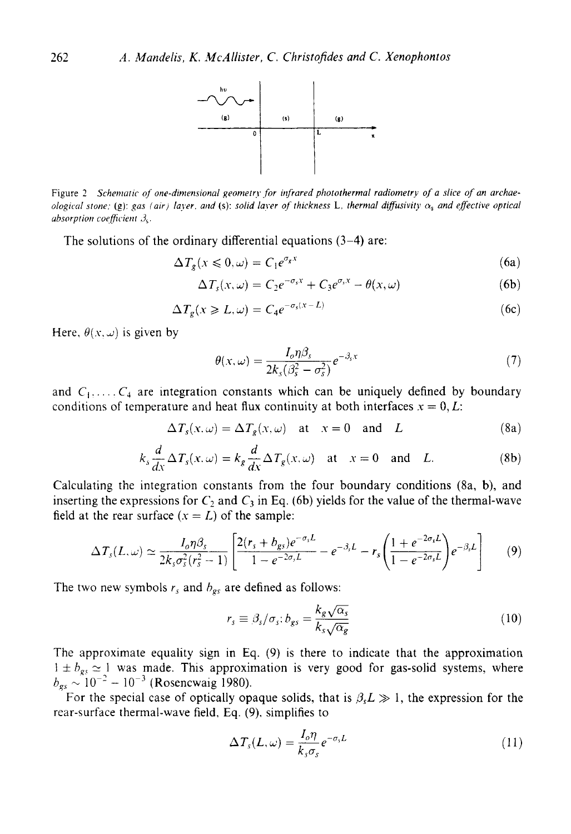

Figure *2 Schernatic of one-dimensional geomefrj. ,for irfrared photothermal radiometry of a slice of an orchaeological stone;* (g): *gas (air) layer, and (s): solid layer of thickness L, thermal diffusivity*  $\alpha_s$  *and effective optical absorption coefficient*  $\beta_s$ .

The solutions of the ordinary differential equations **(3-4)** are:

$$
\Delta T_g(x \leqslant 0, \omega) = C_1 e^{\sigma_g x} \tag{6a}
$$

$$
\Delta T_s(x,\omega) = C_2 e^{-\sigma_s x} + C_3 e^{\sigma_s x} - \theta(x,\omega)
$$
 (6b)

$$
\Delta T_g(x \ge L, \omega) = C_4 e^{-\sigma_s(x - L)} \tag{6c}
$$

Here,  $\theta(x, \omega)$  is given by

$$
\theta(x,\omega) = \frac{I_o \eta \beta_s}{2k_s(\beta_s^2 - \sigma_s^2)} e^{-\beta_s x}
$$
\n(7)

and  $C_1, \ldots, C_4$  are integration constants which can be uniquely defined by boundary conditions of temperature and heat flux continuity at both interfaces  $x = 0, L$ :

$$
\Delta T_s(x,\omega) = \Delta T_g(x,\omega) \quad \text{at} \quad x = 0 \quad \text{and} \quad L \tag{8a}
$$

$$
k_s \frac{d}{dx} \Delta T_s(x, \omega) = k_g \frac{d}{dx} \Delta T_g(x, \omega) \quad \text{at} \quad x = 0 \quad \text{and} \quad L. \tag{8b}
$$

Calculating the integration constants from the four boundary conditions (8a, **b),** and inserting the expressions for  $C_2$  and  $C_3$  in Eq. (6b) yields for the value of the thermal-wave field at the rear surface  $(x = L)$  of the sample:

$$
\Delta T_s(L,\omega) \simeq \frac{I_o \eta \beta_s}{2k_s \sigma_s^2 (r_s^2 - 1)} \left[ \frac{2(r_s + b_{gs})e^{-\sigma_s L}}{1 - e^{-2\sigma_s L}} - e^{-\beta_s L} - r_s \left( \frac{1 + e^{-2\sigma_s L}}{1 - e^{-2\sigma_s L}} \right) e^{-\beta_s L} \right] \tag{9}
$$

The two new symbols  $r_s$  and  $b_{gs}$  are defined as follows:

$$
r_s \equiv \beta_s / \sigma_s; b_{gs} = \frac{k_g \sqrt{\alpha_s}}{k_s \sqrt{\alpha_g}} \tag{10}
$$

The approximate equality sign in Eq. (9) is there to indicate that the approximation  $h_{gs} \approx 1$  was made. This approximation is very good for gas-solid systems, where  $b_{gs} \sim 10^{-2} - 10^{-3}$  (Rosencwaig 1980).

For the special case of optically opaque solids, that is  $\beta<sub>s</sub>L \gg 1$ , the expression for the rear-surface thermal-wave field, Eq. (9). simplifies to

$$
\Delta T_s(L,\omega) = \frac{I_o \eta}{k_s \sigma_s} e^{-\sigma_s L} \tag{11}
$$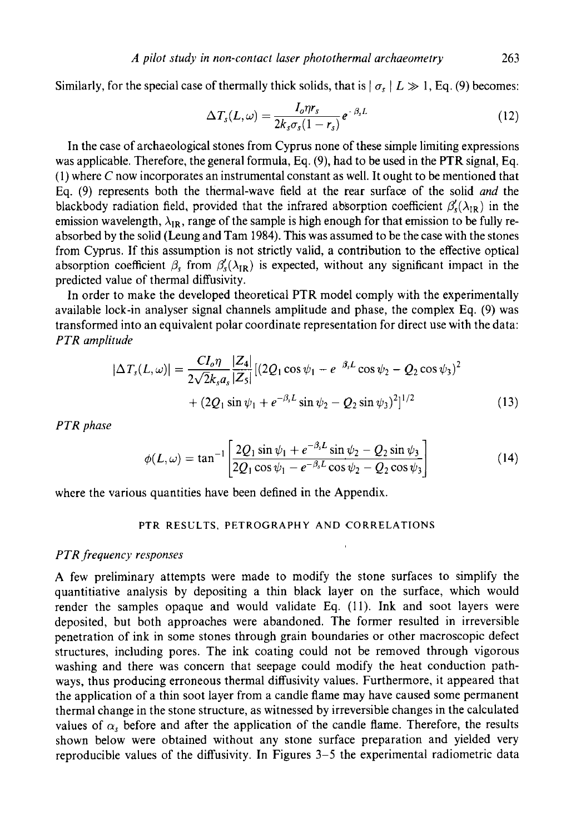Similarly, for the special case of thermally thick solids, that is  $|\sigma_s| L \gg 1$ , Eq. (9) becomes:

$$
\Delta T_s(L,\omega) = \frac{I_o \eta r_s}{2k_s \sigma_s (1-r_s)} e^{-\beta_s L} \tag{12}
$$

In the case of archaeological stones from Cyprus none of these simple limiting expressions was applicable. Therefore, the general formula, Eq. **(9),** had to be used in the **PTR** signal, Eq. (1) where *C* now incorporates an instrumental constant as well. It ought to be mentioned that Eq. (9) represents both the thermal-wave field at the rear surface of the solid *and* the blackbody radiation field, provided that the infrared absorption coefficient  $\beta_s'(\lambda_{IR})$  in the emission wavelength,  $\lambda_{IR}$ , range of the sample is high enough for that emission to be fully reabsorbed by the solid (Leung and Tam **1984).** Ths was assumed to be the case with the stones from Cyprus. **If** this assumption is not strictly valid, a contribution to the effective optical absorption coefficient  $\beta_s$  from  $\beta_s'(\lambda_{IR})$  is expected, without any significant impact in the predicted value of thermal diffusivity.

In order to make the developed theoretical PTR model comply with the experimentally available lock-in analyser signal channels amplitude and phase, the complex Eq. **(9)** was transformed into an equivalent polar coordinate representation for direct use with the data: *PTR amplitude* 

$$
|\Delta T_s(L,\omega)| = \frac{CI_o \eta}{2\sqrt{2}k_s a_s} \frac{|Z_4|}{|Z_5|} [(2Q_1 \cos \psi_1 - e^{-\beta_s L} \cos \psi_2 - Q_2 \cos \psi_3)^2
$$
  
+ 
$$
(2Q_1 \sin \psi_1 + e^{-\beta_s L} \sin \psi_2 - Q_2 \sin \psi_3)^2]^{1/2}
$$
(13)

*PTR phase* 

$$
\phi(L,\omega) = \tan^{-1} \left[ \frac{2Q_1 \sin \psi_1 + e^{-\beta_s L} \sin \psi_2 - Q_2 \sin \psi_3}{2Q_1 \cos \psi_1 - e^{-\beta_s L} \cos \psi_2 - Q_2 \cos \psi_3} \right]
$$
(14)

where the various quantities have been defined in the Appendix.

### **PTR RESULTS, PETROGRAPHY AND CORRELATIONS**

### *PTR ,frequency responses*

**A** few preliminary attempts were made to modify the stone surfaces to simplify the quantitiative analysis by depositing a thin black layer on the surface, which would render the samples opaque and would validate Eq. (11). Ink and soot layers were deposited, but both approaches were abandoned. The former resulted in irreversible penetration of ink in some stones through grain boundaries or other macroscopic defect structures, including pores. The ink coating could not be removed through vigorous washing and there was concern that seepage could modify the heat conduction pathways, thus producing erroneous thermal diffusivity values. Furthermore, it appeared that the application of a thin soot layer from a candle flame may have caused some permanent thermal change in the stone structure, as witnessed by irreversible changes in the calculated values of  $\alpha_s$  before and after the application of the candle flame. Therefore, the results shown below were obtained without any stone surface preparation and yielded very reproducible values of the diffusivity. In Figures 3-5 the experimental radiometric data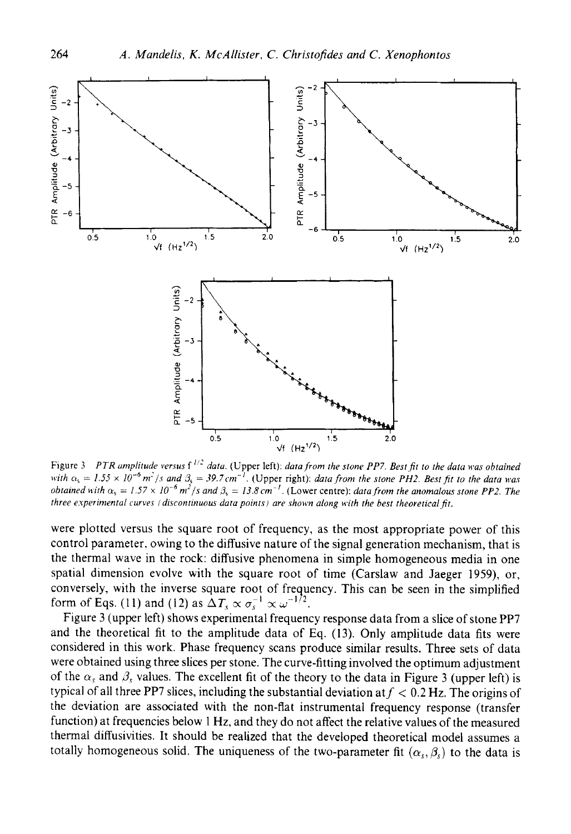

Figure 3 *PTR amplitude versus*  $f^{1/2}$  *data.* (Upper left): *data from the stone PP7. Best fit to the data was obtained* with  $\alpha_s = 1.55 \times 10^{-6}$  m<sup>-1</sup>/s and  $\beta_s = 39.7$  cm<sup>-1</sup>. (Upper right): data from the stone PH2. Best fit to the data was *obtained with*  $\alpha_s = 1.57 \times 10^{-6} \text{ m}^2/\text{s}$  and  $\beta_s = 13.8 \text{ cm}^{-1}$ . (Lower centre): *data from the anomalous stone PP2. The three e.rperinienta1 cwves f discontinuous data points) ore shown along i<.ith the best theoretical fit.* 

were plotted versus the square root of frequency, as the most appropriate power of this control parameter, owing to the diffusive nature of the signal generation mechanism, that is the thermal wave in the rock: diffusive phenomena in simple homogeneous media in one spatial dimension evolve with the square root of time (Carslaw and Jaeger 1959), or, conversely, with the inverse square root of frequency. This can be seen in the simplified form of Eqs. (11) and (12) as  $\Delta T_x \propto \sigma^{-1} \propto \omega^{-1/2}$ 

Figure 3 (upper left) shows experimental frequency response data from a slice of stone PP7 and the theoretical fit to the amplitude data of Eq. (13). Only amplitude data fits were considered in ths work. Phase frequency scans produce similar results. Three sets of data were obtained using three slices per stone. The curve-fitting involved the optimum adjustment of the  $\alpha_s$  and  $\beta_s$  values. The excellent fit of the theory to the data in Figure 3 (upper left) is typical of all three PP7 slices, including the substantial deviation at  $f < 0.2$  Hz. The origins of the deviation are associated with the non-flat instrumental frequency response (transfer function) at frequencies below 1 Hz, and they do not affect the relative values of the measured thermal diffusivities. It should be realized that the developed theoretical model assumes a totally homogeneous solid. The uniqueness of the two-parameter fit  $(\alpha_s, \beta_s)$  to the data is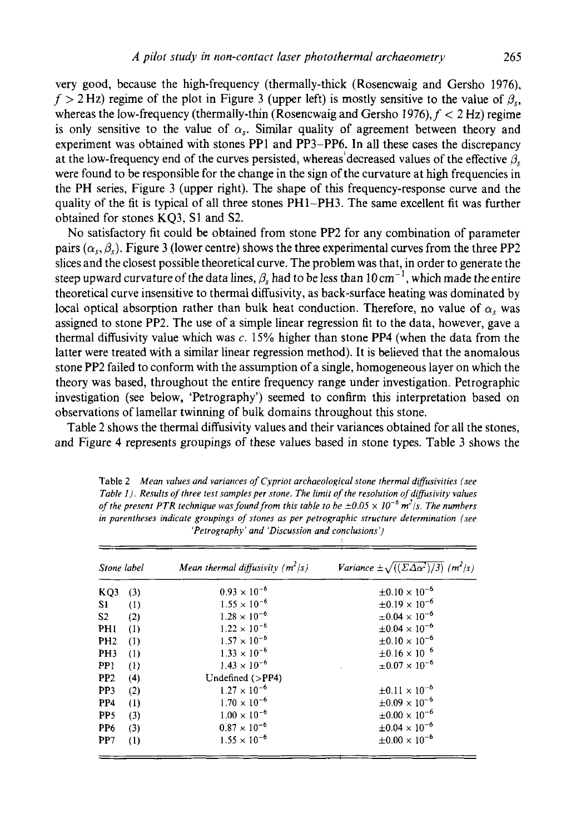very good, because the high-frequency (thermally-thick (Rosencwaig and Gersho **1976),**   $f > 2$  Hz) regime of the plot in Figure 3 (upper left) is mostly sensitive to the value of  $\beta_{\rm cr}$ whereas the low-frequency (thermally-thin (Rosencwaig and Gersho 1976),  $f < 2 Hz$ ) regime is only sensitive to the value of  $\alpha_s$ . Similar quality of agreement between theory and experiment was obtained with stones PPI and PP3-PP6. In all these cases the discrepancy at the low-frequency end of the curves persisted, whereas'decreased values of the effective *p,*  were found to be responsible for the change in the sign of the curvature at **high** frequencies in the PH series, Figure 3 (upper right). The shape of this frequency-response curve and the quality of the fit is typical of all three stones PH1-PH3. The same excellent fit was further obtained for stones KQ3, **SI** and S2.

No satisfactory fit could be obtained from stone PP2 for any combination of parameter pairs  $(\alpha_{\rm v}, \beta_{\rm v})$ . Figure 3 (lower centre) shows the three experimental curves from the three PP2 slices and the closest possible theoretical curve. The problem was that, in order to generate the steep upward curvature of the data lines,  $\beta_s$  had to be less than  $10 \text{ cm}^{-1}$ , which made the entire theoretical curve insensitive to thermal diffusivity, as back-surface heating was dominated by local optical absorption rather than bulk heat conduction. Therefore, no value of  $\alpha$ , was assigned to stone PP2. The use of a simple linear regression fit to the data, however, gave a thermal diffusivity value which was *c.* 15% higher than stone **PP4** (when the data from the latter were treated with a similar linear regression method). It is believed that the anomalous stone PP2 failed to conform with the assumption of a single, homogeneous layer on which the theory was based, throughout the entire frequency range under investigation. Petrographic investigation (see below, 'Petrography') seemed to confirm this interpretation based on observations of lamellar twinning of bulk domains throughout this stone.

Table 2 shows the thermal diffusivity values and their variances obtained for all the stones, and Figure **4** represents groupings of these values based in stone types. Table **3** shows the

| Stone label     |     | Mean thermal diffusivity $(m^2/s)$ | Variance $\pm \sqrt{((\Sigma \Delta \alpha^2)/3)}$ (m <sup>2</sup> /s) |
|-----------------|-----|------------------------------------|------------------------------------------------------------------------|
| KQ3             | (3) | $0.93 \times 10^{-6}$              | $\pm 0.10 \times 10^{-6}$                                              |
| S1              | (1) | $1.55 \times 10^{-6}$              | $\pm 0.19 \times 10^{-6}$                                              |
| S <sub>2</sub>  | (2) | $1.28 \times 10^{-6}$              | $\pm 0.04 \times 10^{-6}$                                              |
| PHI             | (1) | $1.22 \times 10^{-6}$              | $\pm 0.04 \times 10^{-6}$                                              |
| PH <sub>2</sub> | (1) | $1.57 \times 10^{-6}$              | $\pm 0.10 \times 10^{-6}$                                              |
| PH <sub>3</sub> | (1) | $1.33 \times 10^{-6}$              | $\pm 0.16 \times 10^{-6}$                                              |
| PP <sub>1</sub> | (1) | $1.43 \times 10^{-6}$              | $\pm 0.07 \times 10^{-6}$                                              |
| PP2             | (4) | Undefined $(>PP4)$                 |                                                                        |
| PP <sub>3</sub> | (2) | $1.27 \times 10^{-6}$              | $\pm 0.11 \times 10^{-6}$                                              |
| PP4             | (1) | $1.70 \times 10^{-6}$              | $\pm 0.09 \times 10^{-6}$                                              |
| PP <sub>5</sub> | (3) | $1.00 \times 10^{-6}$              | $\pm 0.00 \times 10^{-6}$                                              |
| PP <sub>6</sub> | (3) | $0.87 \times 10^{-6}$              | $\pm 0.04 \times 10^{-6}$                                              |
| PP <sub>7</sub> | (1) | $1.55 \times 10^{-6}$              | $\pm 0.00 \times 10^{-6}$                                              |

**Table 2** *Mean values and variatices of Cypriot archaeological stone thermal diffusivities (see Table 1). Results of three test samples per stone. The limit of the resolution of diffusivity values of the present PTR technique was found from this table to be*  $\pm 0.05 \times 10^{-6}$  *m<sup>2</sup>/s. The numbers in parentheses indicate groupings of stones as per petrographic .structure determination (see 'Petrography' and 'Discussion and conclusions')*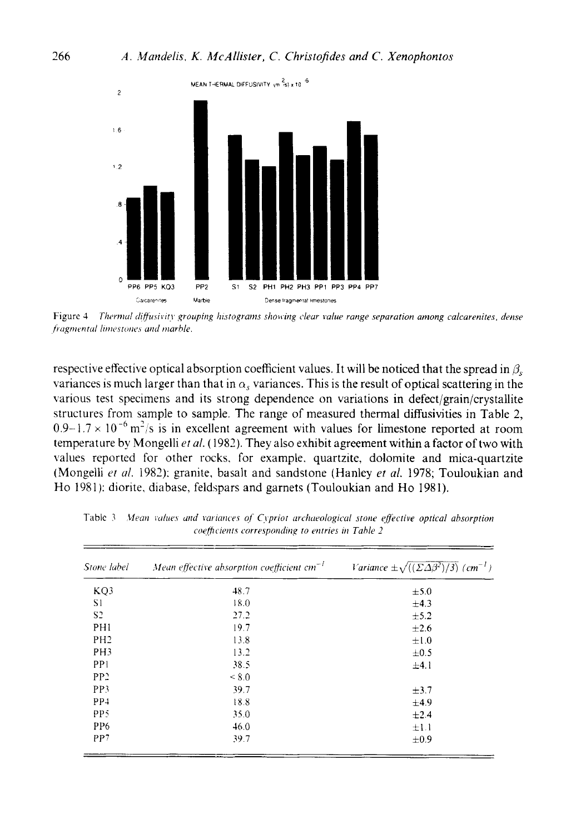

Figure 4 *Thermal diffusivity grouping histograms showing clear value range separation among calcarenites, dense*  $f$ ragmental limestones and marble.

respective effective optical absorption coefficient values. It will be noticed that the spread in  $\beta$ , variances is much larger than that in  $\alpha_s$  variances. This is the result of optical scattering in the various test specimens and its strong dependence on variations in defect/grain/crystallite structures from sample to sample. The range of measured thermal diffusivities in Table 2,  $0.9-1.7 \times 10^{-6}$  m<sup>2</sup>/s is in excellent agreement with values for limestone reported at room temperature by Mongelli et al. (1982). They also exhibit agreement within a factor of two with values reported for other rocks. for example. quartzite, dolomite and mica-quartzite (Mongelli *et al.* 1982); granite, basalt and sandstone (Hanley *et al.* 1978; Touloukian and Ho 1981): diorite. diabase, feldspars and garnets (Touloukian and Ho 1981).

| Stone label     | Mean effective absorption coefficient $cm^{-1}$ | Variance $\pm \sqrt{((\Sigma \Delta \beta^2)/3)}$ (cm <sup>-1</sup> ) |
|-----------------|-------------------------------------------------|-----------------------------------------------------------------------|
| KQ3             | 48.7                                            | $\pm$ 5.0                                                             |
| S1              | 18.0                                            | $\pm 4.3$                                                             |
| S <sub>2</sub>  | 27.2                                            | ±5.2                                                                  |
| PH1             | 19.7                                            | ±2.6                                                                  |
| PH <sub>2</sub> | 13.8                                            | $\pm 1.0$                                                             |
| PH <sub>3</sub> | 13.2                                            | $\pm 0.5$                                                             |
| PP <sub>1</sub> | 38.5                                            | ±4.1                                                                  |
| PP <sub>2</sub> | < 8.0                                           |                                                                       |
| PP3             | 39.7                                            | $\pm$ 3.7                                                             |
| PP <sub>1</sub> | 18.8                                            | ±4.9                                                                  |
| PP5             | 35.0                                            | ±2.4                                                                  |
| PP <sub>6</sub> | 46.0                                            | $\pm 1.1$                                                             |
| PP7             | 39.7                                            | ±0.9                                                                  |
|                 |                                                 |                                                                       |

Table 3 Mean values and variances of Cypriot archaeological stone effective optical absorption *coe/ficierir.c corrrsporiditip 10 rtirries iri Tahle 2*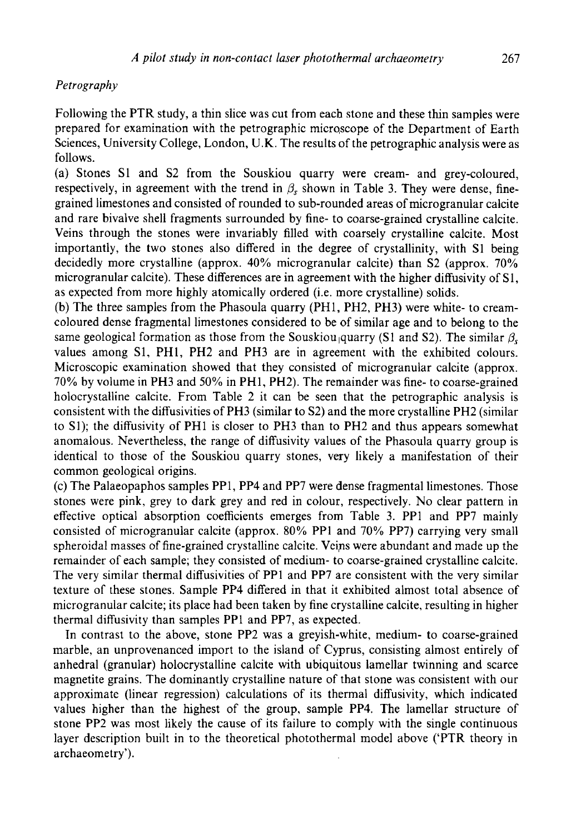# *Petrography*

Following the PTR study, a thin slice was cut from each stone and these thin samples were prepared for examination with the petrographic micro,scope of the Department of Earth Sciences, University College, London, **U.K.** The results of the petrographic analysis were as follows.

(a) Stones S1 and S2 from the Souskiou quarry were cream- and grey-coloured, respectively, in agreement with the trend in  $\beta_s$  shown in Table 3. They were dense, finegrained limestones and consisted of rounded to sub-rounded areas of microgranular calcite and rare bivalve shell fragments surrounded by fine- to coarse-grained crystalline calcite. Veins through the stones were invariably filled with coarsely crystalline calcite. Most importantly, the two stones also differed in the degree of crystallinity, with S1 being decidedly more crystalline (approx. **40%** microgranular calcite) than S2 (approx. 70% microgranular calcite). These differences are in agreement with the higher diffusivity of S1, as expected from more highly atomically ordered (i.e. more crystalline) solids.

(b) The three samples from the Phasoula quarry (PH1, PH2, PH3) were white- to creamcoloured dense fragmental limestones considered to be of similar age and to belong to the same geological formation as those from the Souskiou quarry (S1 and S2). The similar  $\beta$ , values among **S1,** PHI, PH2 and PH3 are in agreement with the exhibited colours. Microscopic examination showed that they consisted of microgranular calcite (approx. 70% by volume in PH3 and **50%** in PHI, PH2). The remainder was fine- to coarse-grained holocrystalline calcite. From Table 2 it can be seen that the petrographic analysis is consistent with the diffusivities of PH3 (similar to S2) and the more crystalline PH2 (similar to **S1);** the diffusivity of PH1 is closer to PH3 than to PH2 and thus appears somewhat anomalous. Nevertheless, the range of diffusivity values of the Phasoula quarry group is identical to those of the Souskiou quarry stones, very likely a manifestation of their common geological origins.

(c) The Palaeopaphos samples PP1, PP4 and PP7 were dense fragmental limestones. Those stones were pink, grey to dark grey and red in colour, respectively. No clear pattern in effective optical absorption coefficients emerges from Table 3. PPl and PP7 mainly consisted of microgranular calcite (approx. 80% PPl and 70% PP7) carrying very small spheroidal masses of fine-grained crystalline calcite. Veips were abundant and made up the remainder of each sample; they consisted of medium- to coarse-grained crystalline calcite. The very similar thermal diffusivities of PPl and PP7 are consistent with the very similar texture of these stones. Sample PP4 differed in that it exhibited almost total absence of microgranular calcite; its place had been taken by fine crystalline calcite, resulting in higher thermal diffusivity than samples PP1 and PP7, as expected.

In contrast to the above, stone PP2 was a greyish-white, medium- to coarse-grained marble, an unprovenanced import to the island of Cyprus, consisting almost entirely of anhedral (granular) holocrystalline calcite with ubiquitous lamellar twinning and scarce magnetite grains. The dominantly crystalline nature of that stone was consistent with our approximate (linear regression) calculations of its thermal diffusivity, which indicated values higher than the highest of the group, sample PP4. The lamellar structure of stone PP2 was most likely the cause of its failure to comply with the single continuous layer description built in to the theoretical photothermal model above ('PTR theory in archaeometry').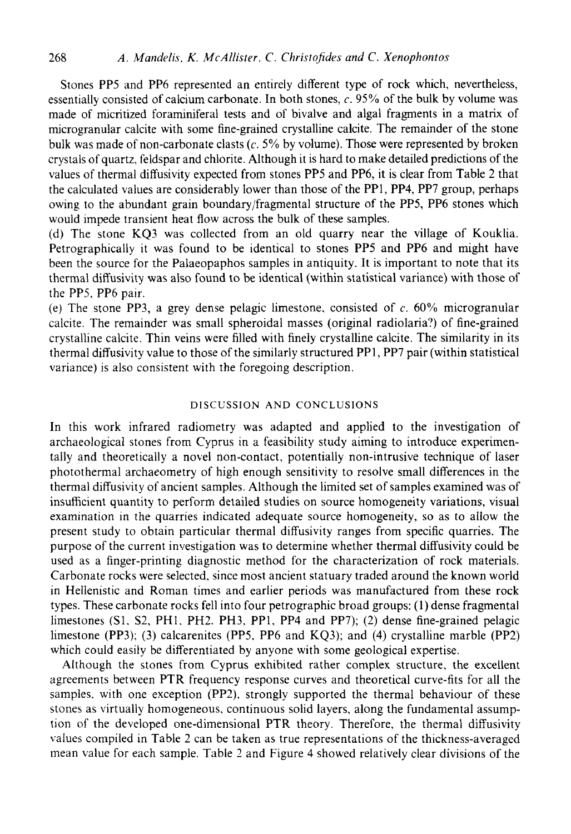Stones PP5 and PP6 represented an entirely different type of rock which, nevertheless, essentially consisted of calcium carbonate. In both stones, c. 95% of the bulk by volume was made of micritized foraminifera1 tests and of bivalve and algal fragments in a matrix of microgranular calcite with some fine-grained crystalline calcite. The remainder of the stone bulk was made of non-carbonate clasts (c. *5%* by volume). Those were represented by broken crystals of quartz, feldspar and chlorite. Although it is hard to make detailed predictions of the values of thermal diffusivity expected from stones PP5 and PP6, it is clear from Table 2 that the calculated values are considerably lower than those of the PP1, PP4, PP7 group, perhaps owing to the abundant grain boundary/fragmental structure of the PP5, PP6 stones which would impede transient heat flow across the bulk of these samples.

(d) The stone KQ3 was collected from an old quarry near the village of Kouklia. Petrographically it was found to be identical to stones PP5 and PP6 and might have been the source for the Palaeopaphos samples in antiquity. It is important to note that its thermal diffusivity was also found to be identical (within statistical variance) with those of the PPS, PP6 pair.

(e) The stone PP3, a grey dense pelagic limestone. consisted of c. *60%* microgranular calcite. The remainder was small spheroidal masses (original radiolaria?) of fine-grained crystalline calcite. Thin veins were filled with finely crystalline calcite. The similarity in its thermal diffusivity value to those of the similarly structured PPl, PP7 pair (within statistical variance) is also consistent with the foregoing description.

# **DISCUSSION AND** CONCLUSIONS

In this work infrared radiometry was adapted and applied to the investigation of archaeological stones from Cyprus in a feasibility study aiming to introduce experimentally and theoretically a novel non-contact, potentially non-intrusive technique of laser photothermal archaeometry of high enough sensitivity to resolve small differences in the thermal diffusivity of ancient samples. Although the limited set of samples examined was of insufficient quantity to perform detailed studies on source homogeneity variations, visual examination in the quarries indicated adequate source homogeneity, so as to allow the present study to obtain particular thermal diffusivity ranges from specific quarries. The purpose of the current investigation was to determine whether thermal diffusivity could be used as a finger-printing diagnostic method for the characterization of rock materials. Carbonate rocks were selected, since most ancient statuary traded around the known world in Hellenistic and Roman times and earlier periods was manufactured from these rock types. These carbonate rocks fell into four petrographic broad groups: (1) dense fragmental limestones **(Sl.** *S2,* PHI. PH2. PH3. PP1, PP4 and PP7); (2) dense fine-grained pelagic limestone (PP3); (3) calcarenites (PP5. PP6 and KQ3); and (4) crystalline marble (PP2) which could easily be differentiated by anyone with some geological expertise.

Although the stones from Cyprus exhibited rather complex structure, the excellent agreements between PTR frequency response curves and theoretical curve-fits for all the samples, with one exception (PP2). strongly supported the thermal behaviour of these stones as virtually homogeneous, continuous solid layers, along the fundamental assumption of the developed one-dimensional PTR theory. Therefore, the thermal diffusivity values compiled in Table 2 can be taken as true representations of the thickness-averaged mean value for each sample. Table 2 and Figure **4** showed relatively clear divisions of the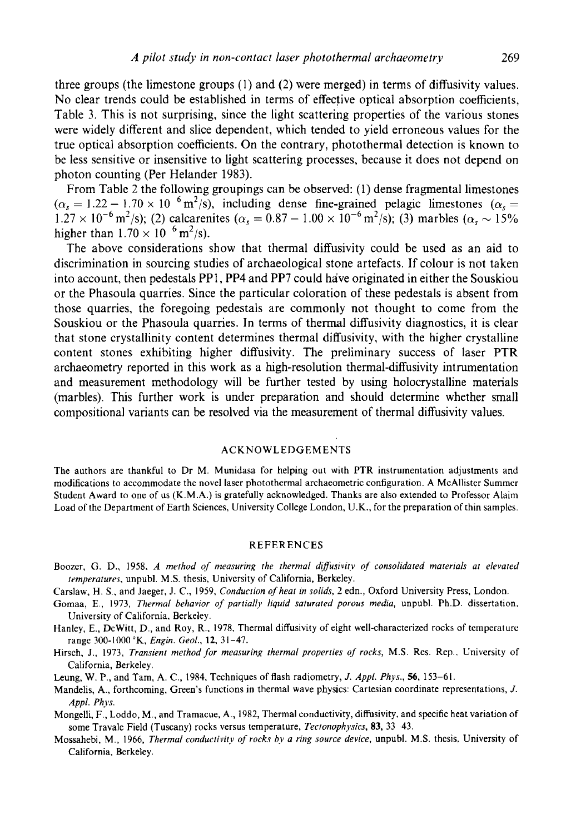three groups (the limestone groups (1) and **(2)** were merged) in terms of diffusivity values. No clear trends could be established in terms of effective optical absorption coefficients, Table 3. This is not surprising, since the light scattering properties of the various stones were widely different and slice dependent, which tended to yield erroneous values for the true optical absorption coefficients. On the contrary, photothermal detection is known to be less sensitive or insensitive to light scattering processes, because it does not depend on photon counting (Per Helander 1983).

From Table 2 the following groupings can be observed: (1) dense fragmental limestones From Table 2 the following groupings can be observed: (1) dense fragmental limestones  $(\alpha_s = 1.22 - 1.70 \times 10^{-6} \text{ m}^2/\text{s})$ , including dense fine-grained pelagic limestones  $(\alpha_s = 1.22 - 1.70 \times 10^{-6} \text{ m}^2/\text{s})$  $(\alpha_s = 1.22 - 1.70 \times 10^{-6} \text{ m}^2/\text{s})$ ; including dense fine-grained pelagic limestones  $(\alpha_s = 1.27 \times 10^{-6} \text{ m}^2/\text{s})$ ; (2) calcarenites  $(\alpha_s = 0.87 - 1.00 \times 10^{-6} \text{ m}^2/\text{s})$ ; (3) marbles  $(\alpha_s \sim 15\%$ higher than  $1.70 \times 10^{-6}$  m<sup>2</sup>/s).

The above considerations show that thermal diffusivity could be used as an aid to discrimination in sourcing studies of archaeological stone artefacts. If colour is not taken into account, then pedestals PPI, PP4 and PP7 could hive originated in either the Souskiou or the Phasoula quarries. Since the particular coloration of these pedestals is absent from those quarries, the foregoing pedestals are commonly not thought to come from the Souskiou or the Phasoula quarries. In terms of thermal diffusivity diagnostics, it is clear that stone crystallinity content determines thermal diffusivity, with the higher crystalline content stones exhibiting higher diffusivity. The preliminary success of laser PTR archaeometry reported in this work as a hgh-resolution thermal-diffusivity intrumentation and measurement methodology will be further tested by using holocrystalline materials (marbles). Ths further work is under preparation and should determine whether small compositional variants can be resolved via the measurement of thermal diffusivity values.

#### ACKNOWLEDGEMENTS

The authors are thankful to Dr M. Munidasa for helping out with PTR instrumentation adjustments and modifications to accommodate the novel laser photothermal archaeometric configuration. **A** McAllister Summer Student Award to one of us (K.M.A.) is gratefully acknowledged. Thanks are also extended to Professor Alaim Load of the Department of Earth Sciences, University College London, U.K., for the preparation of thin samples.

#### REFERENCES

- Boozer, G. D., 1958. *A method of measuring the thermal diffusivity of consolidated materials at elevated tmperatures,* unpubl. **M.S.** thesis, University of California, Berkeley.
- Carslaw, H. *S..* and Jaeger, J. C., 1959, *Conduction of hear in solids,* 2 edn., Oxford University Press, London.
- Gomaa, E., 1973, *Thermal behavior of partiallv liquid saturated porous media,* unpubl. Ph.D. dissertation. University of California. Berkeley.
- Hanky, E., DcWitt, D., and Roy, R.. 1978. Thermal diffusivity of eight well-characterized rocks of temperature range 300-1000"K, *Engin. Geol.,* **12,** 31-47.
- Hirsch, J., 1973, *Transienr method for measuring thermal properties of rocks,* M.S. Res. Rep.. University of California, Berkeley.
- hung, **W.** P., and Tam, **A.** C., 1984. Techniques of flash radiometry, *J. Appl. Phys., 56,* 153-61.
- Mandelis, **A.,** forthcoming, Green's functions in thermal wave physics: Cartesian coordinate representations, *J. Appl. Phys.*
- Mongelli, F., Loddo, M., and Tramacue. A., 1982, Thermal conductivity, diffusivity. and specific heat variation of some Travale Field (Tuscany) rocks versus temperature, *Tectonophysics.* **83,** *33* 43.
- Mossahebi, M., 1966, *Thermal conductivity of rocks by a ring source device*, unpubl. M.S. thesis, University of California, Berkeley.